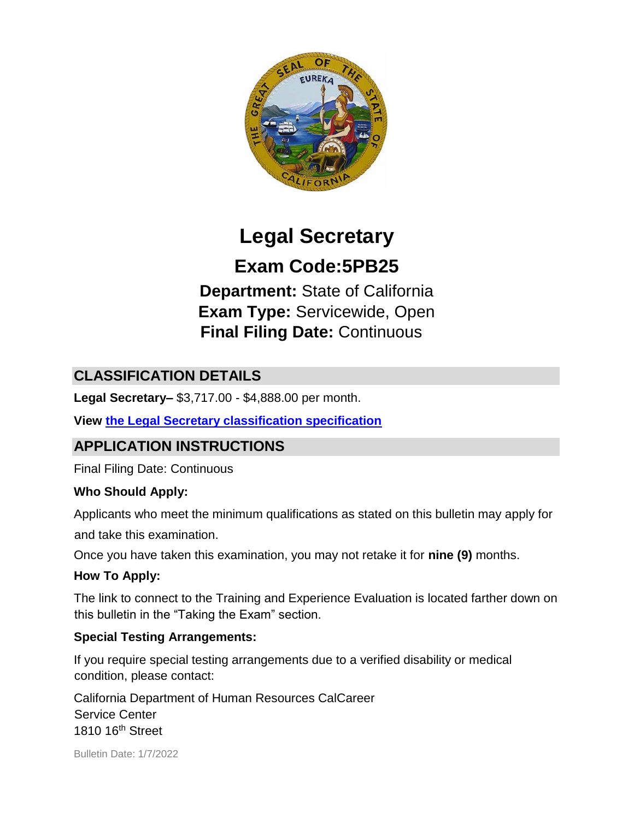

# **Legal Secretary**

# **Exam Code:5PB25**

**Department:** State of California **Exam Type:** Servicewide, Open **Final Filing Date:** Continuous

# **CLASSIFICATION DETAILS**

**Legal Secretary–** \$3,717.00 - \$4,888.00 per month.

**View [the Legal Secretary classification specification](http://www.calhr.ca.gov/state-hr-professionals/Pages/3224.aspx)**

# **APPLICATION INSTRUCTIONS**

Final Filing Date: Continuous

### **Who Should Apply:**

Applicants who meet the minimum qualifications as stated on this bulletin may apply for

and take this examination.

Once you have taken this examination, you may not retake it for **nine (9)** months.

### **How To Apply:**

The link to connect to the Training and Experience Evaluation is located farther down on this bulletin in the "Taking the Exam" section.

### **Special Testing Arrangements:**

If you require special testing arrangements due to a verified disability or medical condition, please contact:

California Department of Human Resources CalCareer Service Center 1810 16th Street

Bulletin Date: 1/7/2022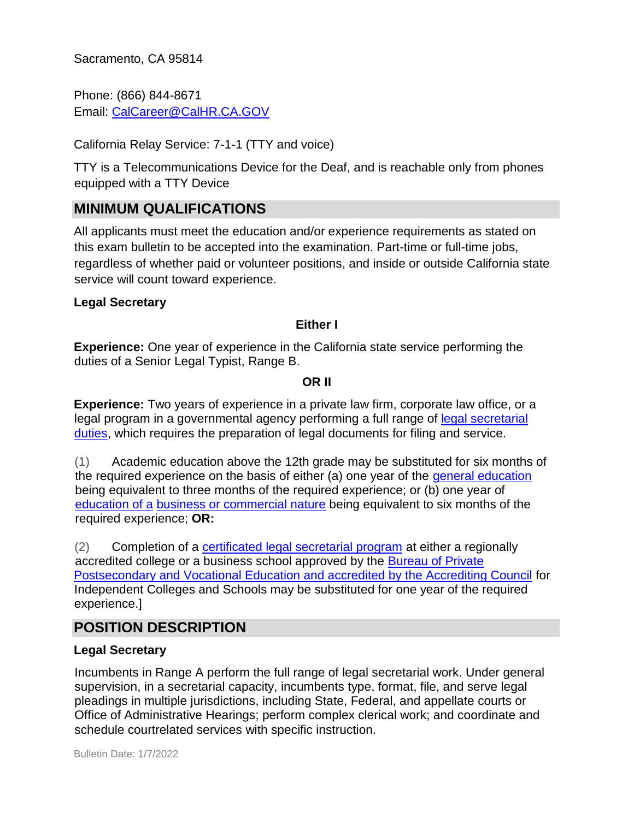Sacramento, CA 95814

Phone: (866) 844-8671 Email: CalCareer@CalHR.CA.GOV

California Relay Service: 7-1-1 (TTY and voice)

TTY is a Telecommunications Device for the Deaf, and is reachable only from phones equipped with a TTY Device

## **MINIMUM QUALIFICATIONS**

All applicants must meet the education and/or experience requirements as stated on this exam bulletin to be accepted into the examination. Part-time or full-time jobs, regardless of whether paid or volunteer positions, and inside or outside California state service will count toward experience.

#### **Legal Secretary**

#### **Either I**

**Experience:** One year of experience in the California state service performing the duties of a Senior Legal Typist, Range B.

#### **OR II**

**Experience:** Two years of experience in a private law firm, corporate law office, or a legal program in a governmental agency performing a full range of [legal secretarial](https://jobs.ca.gov/jobsgen/5PB25A.pdf) [duties,](https://jobs.ca.gov/jobsgen/5PB25A.pdf) which requires the preparation of legal documents for filing and service.

(1) Academic education above the 12th grade may be substituted for six months of the required experience on the basis of either (a) one year of the [general education](https://jobs.ca.gov/jobsgen/5PB25B.pdf) being equivalent to three months of the required experience; or (b) one year of [education of a](https://jobs.ca.gov/jobsgen/5PB25C.pdf) [business or commercial nature](https://jobs.ca.gov/jobsgen/5PB25C.pdf) being equivalent to six months of the required experience; **OR:** 

(2) Completion of a [certificated legal secretarial program](https://jobs.ca.gov/jobsgen/5PB25D.pdf) [a](https://jobs.ca.gov/jobsgen/5PB25D.pdf)t either a regionally accredited college or a business school approved by the [Bureau of Private](https://jobs.ca.gov/jobsgen/5PB25E.pdf) [Postsecondary and Vocational Education and accredited by the Accrediting Council](https://jobs.ca.gov/jobsgen/5PB25E.pdf) [f](https://jobs.ca.gov/jobsgen/5PB25E.pdf)or Independent Colleges and Schools may be substituted for one year of the required experience.]

## **POSITION DESCRIPTION**

#### **Legal Secretary**

Incumbents in Range A perform the full range of legal secretarial work. Under general supervision, in a secretarial capacity, incumbents type, format, file, and serve legal pleadings in multiple jurisdictions, including State, Federal, and appellate courts or Office of Administrative Hearings; perform complex clerical work; and coordinate and schedule courtrelated services with specific instruction.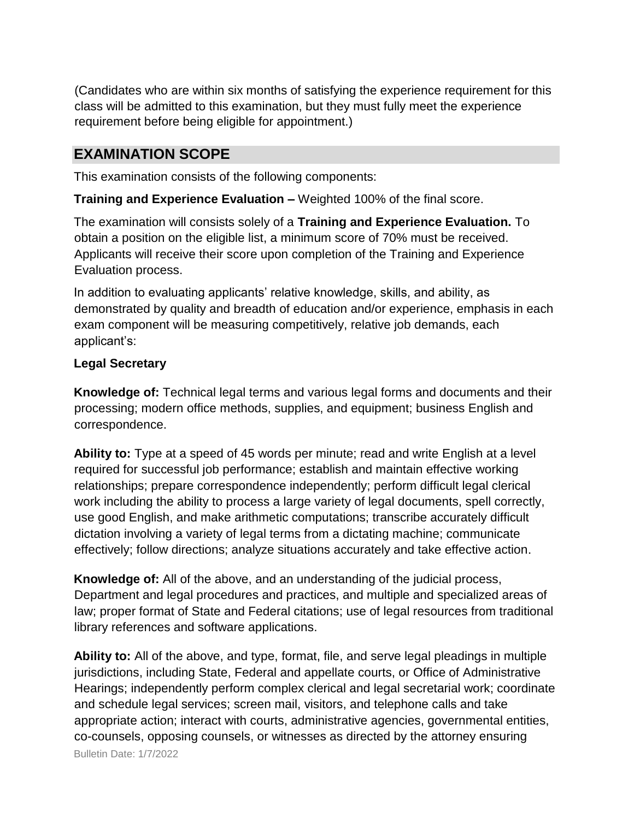(Candidates who are within six months of satisfying the experience requirement for this class will be admitted to this examination, but they must fully meet the experience requirement before being eligible for appointment.)

## **EXAMINATION SCOPE**

This examination consists of the following components:

**Training and Experience Evaluation –** Weighted 100% of the final score.

The examination will consists solely of a **Training and Experience Evaluation.** To obtain a position on the eligible list, a minimum score of 70% must be received. Applicants will receive their score upon completion of the Training and Experience Evaluation process.

In addition to evaluating applicants' relative knowledge, skills, and ability, as demonstrated by quality and breadth of education and/or experience, emphasis in each exam component will be measuring competitively, relative job demands, each applicant's:

#### **Legal Secretary**

**Knowledge of:** Technical legal terms and various legal forms and documents and their processing; modern office methods, supplies, and equipment; business English and correspondence.

**Ability to:** Type at a speed of 45 words per minute; read and write English at a level required for successful job performance; establish and maintain effective working relationships; prepare correspondence independently; perform difficult legal clerical work including the ability to process a large variety of legal documents, spell correctly, use good English, and make arithmetic computations; transcribe accurately difficult dictation involving a variety of legal terms from a dictating machine; communicate effectively; follow directions; analyze situations accurately and take effective action.

**Knowledge of:** All of the above, and an understanding of the judicial process, Department and legal procedures and practices, and multiple and specialized areas of law; proper format of State and Federal citations; use of legal resources from traditional library references and software applications.

Bulletin Date: 1/7/2022 **Ability to:** All of the above, and type, format, file, and serve legal pleadings in multiple jurisdictions, including State, Federal and appellate courts, or Office of Administrative Hearings; independently perform complex clerical and legal secretarial work; coordinate and schedule legal services; screen mail, visitors, and telephone calls and take appropriate action; interact with courts, administrative agencies, governmental entities, co-counsels, opposing counsels, or witnesses as directed by the attorney ensuring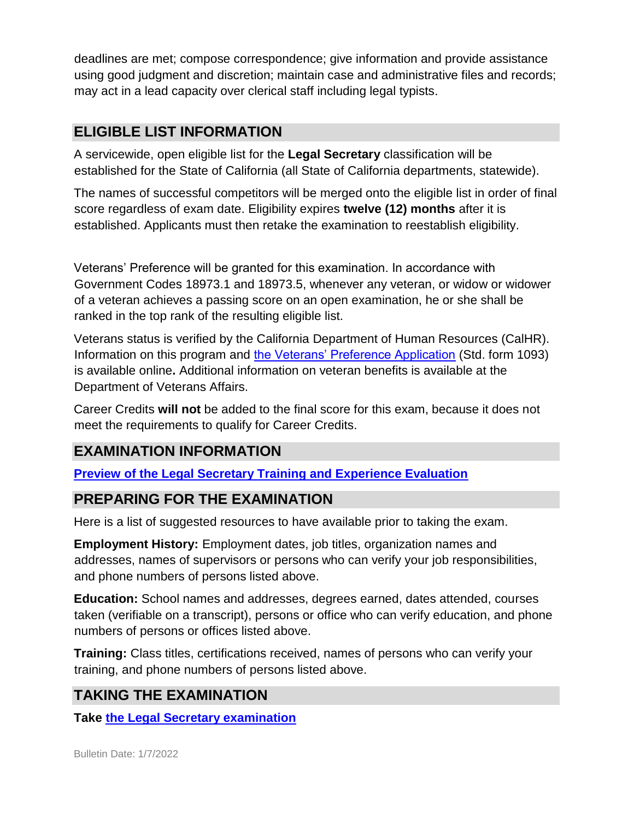deadlines are met; compose correspondence; give information and provide assistance using good judgment and discretion; maintain case and administrative files and records; may act in a lead capacity over clerical staff including legal typists.

# **ELIGIBLE LIST INFORMATION**

A servicewide, open eligible list for the **Legal Secretary** classification will be established for the State of California (all State of California departments, statewide).

The names of successful competitors will be merged onto the eligible list in order of final score regardless of exam date. Eligibility expires **twelve (12) months** after it is established. Applicants must then retake the examination to reestablish eligibility.

Veterans' Preference will be granted for this examination. In accordance with Government Codes 18973.1 and 18973.5, whenever any veteran, or widow or widower of a veteran achieves a passing score on an open examination, he or she shall be ranked in the top rank of the resulting eligible list.

Veterans status is verified by the California Department of Human Resources (CalHR). Information on this program and [the Veterans' Preference Application](https://www.jobs.ca.gov/CalHRPublic/Landing/Jobs/VeteransInformation.aspx) [\(](https://www.jobs.ca.gov/CalHRPublic/Landing/Jobs/VeteransInformation.aspx)Std. form 1093) is available online**.** Additional information on veteran benefits is available at the Department of Veterans Affairs.

Career Credits **will not** be added to the final score for this exam, because it does not meet the requirements to qualify for Career Credits.

# **EXAMINATION INFORMATION**

**[Preview of the Legal Secretary Training and Experience Evaluation](https://jobs.ca.gov/jobsgen/5PB25F.pdf)**

# **PREPARING FOR THE EXAMINATION**

Here is a list of suggested resources to have available prior to taking the exam.

**Employment History:** Employment dates, job titles, organization names and addresses, names of supervisors or persons who can verify your job responsibilities, and phone numbers of persons listed above.

**Education:** School names and addresses, degrees earned, dates attended, courses taken (verifiable on a transcript), persons or office who can verify education, and phone numbers of persons or offices listed above.

**Training:** Class titles, certifications received, names of persons who can verify your training, and phone numbers of persons listed above.

# **TAKING THE EXAMINATION**

**Take [the Legal Secretary examination](https://exams.spb.ca.gov/exams/lsec/index.cfm)**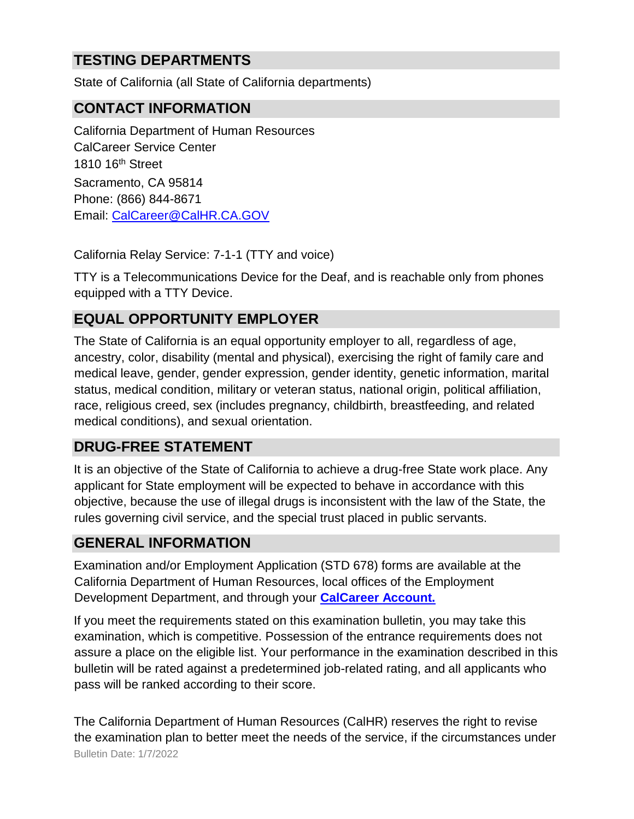# **TESTING DEPARTMENTS**

State of California (all State of California departments)

### **CONTACT INFORMATION**

California Department of Human Resources CalCareer Service Center 1810 16th Street Sacramento, CA 95814 Phone: (866) 844-8671 Email: CalCareer@CalHR.CA.GOV

California Relay Service: 7-1-1 (TTY and voice)

TTY is a Telecommunications Device for the Deaf, and is reachable only from phones equipped with a TTY Device.

## **EQUAL OPPORTUNITY EMPLOYER**

The State of California is an equal opportunity employer to all, regardless of age, ancestry, color, disability (mental and physical), exercising the right of family care and medical leave, gender, gender expression, gender identity, genetic information, marital status, medical condition, military or veteran status, national origin, political affiliation, race, religious creed, sex (includes pregnancy, childbirth, breastfeeding, and related medical conditions), and sexual orientation.

## **DRUG-FREE STATEMENT**

It is an objective of the State of California to achieve a drug-free State work place. Any applicant for State employment will be expected to behave in accordance with this objective, because the use of illegal drugs is inconsistent with the law of the State, the rules governing civil service, and the special trust placed in public servants.

### **GENERAL INFORMATION**

Examination and/or Employment Application (STD 678) forms are available at the California Department of Human Resources, local offices of the Employment Development Department, and through your **[CalCareer Account.](http://www.jobs.ca.gov/)**

If you meet the requirements stated on this examination bulletin, you may take this examination, which is competitive. Possession of the entrance requirements does not assure a place on the eligible list. Your performance in the examination described in this bulletin will be rated against a predetermined job-related rating, and all applicants who pass will be ranked according to their score.

Bulletin Date: 1/7/2022 The California Department of Human Resources (CalHR) reserves the right to revise the examination plan to better meet the needs of the service, if the circumstances under